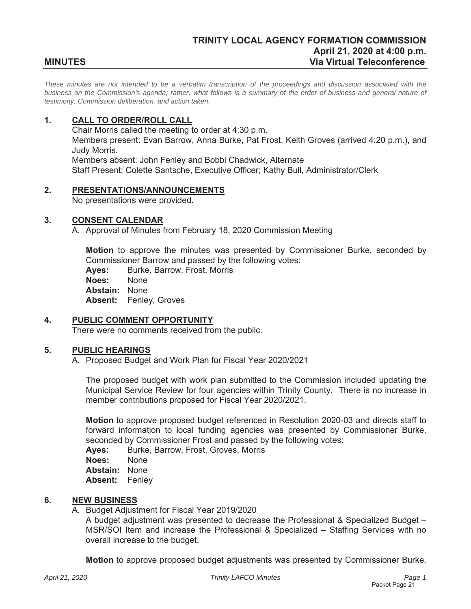*These minutes are not intended to be a verbatim transcription of the proceedings and discussion associated with the business on the Commission's agenda; rather, what follows is a summary of the order of business and general nature of testimony, Commission deliberation, and action taken.*

# **1. CALL TO ORDER/ROLL CALL**

Chair Morris called the meeting to order at 4:30 p.m. Members present: Evan Barrow, Anna Burke, Pat Frost, Keith Groves (arrived 4:20 p.m.), and Judy Morris. Members absent: John Fenley and Bobbi Chadwick, Alternate Staff Present: Colette Santsche, Executive Officer; Kathy Bull, Administrator/Clerk

## **2. PRESENTATIONS/ANNOUNCEMENTS**

No presentations were provided.

## **3. CONSENT CALENDAR**

A. Approval of Minutes from February 18, 2020 Commission Meeting

**Motion** to approve the minutes was presented by Commissioner Burke, seconded by Commissioner Barrow and passed by the following votes:

**Ayes:** Burke, Barrow, Frost, Morris

**Noes:** None

**Abstain:** None

**Absent:** Fenley, Groves

## **4. PUBLIC COMMENT OPPORTUNITY**

There were no comments received from the public.

## **5. PUBLIC HEARINGS**

A. Proposed Budget and Work Plan for Fiscal Year 2020/2021

The proposed budget with work plan submitted to the Commission included updating the Municipal Service Review for four agencies within Trinity County. There is no increase in member contributions proposed for Fiscal Year 2020/2021.

**Motion** to approve proposed budget referenced in Resolution 2020-03 and directs staff to forward information to local funding agencies was presented by Commissioner Burke, seconded by Commissioner Frost and passed by the following votes:

**Ayes:** Burke, Barrow, Frost, Groves, Morris

**Noes:** None

**Abstain:** None

**Absent:** Fenley

## **6. NEW BUSINESS**

A. Budget Adjustment for Fiscal Year 2019/2020

A budget adjustment was presented to decrease the Professional & Specialized Budget – MSR/SOI Item and increase the Professional & Specialized – Staffing Services with no overall increase to the budget.

**Motion** to approve proposed budget adjustments was presented by Commissioner Burke,